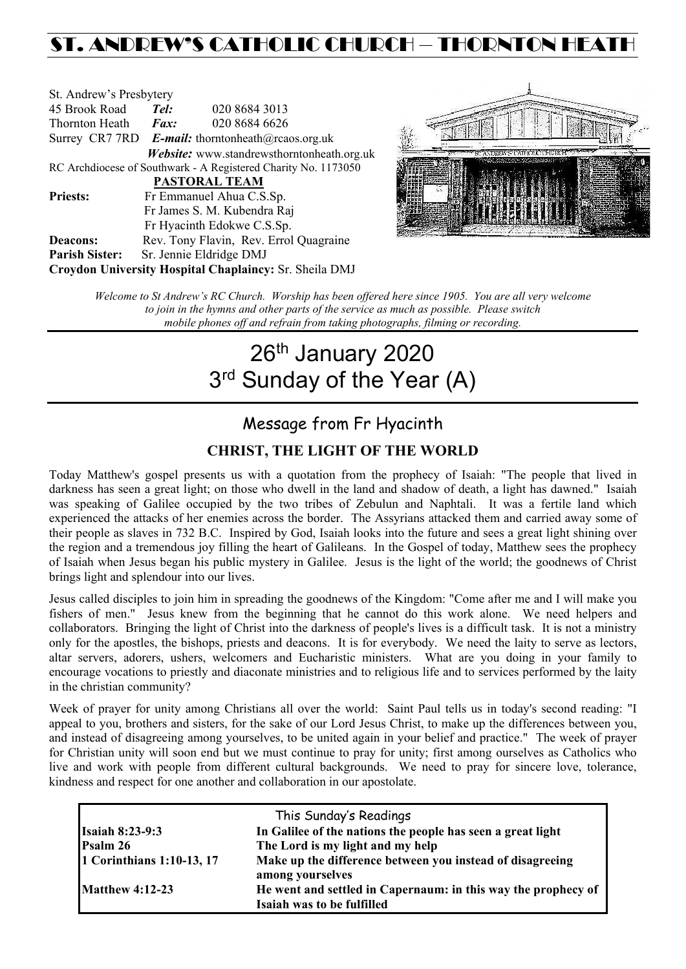## ST. ANDREW'S CATHOLIC CHURCH – THORNTON HEAT

| St. Andrew's Presbytery                                        |                                                          |                                            |  |  |
|----------------------------------------------------------------|----------------------------------------------------------|--------------------------------------------|--|--|
| 45 Brook Road                                                  | Tel:                                                     | 020 8684 3013                              |  |  |
| Thornton Heath                                                 | $\boldsymbol{Fax:}$                                      | 020 8684 6626                              |  |  |
|                                                                | Surrey CR7 7RD <b>E-mail:</b> thorntonheath@rcaos.org.uk |                                            |  |  |
|                                                                |                                                          | Website: www.standrewsthorntonheath.org.uk |  |  |
| RC Archdiocese of Southwark - A Registered Charity No. 1173050 |                                                          |                                            |  |  |
| <b>PASTORAL TEAM</b>                                           |                                                          |                                            |  |  |
| <b>Priests:</b>                                                |                                                          | Fr Emmanuel Ahua C.S.Sp.                   |  |  |
| Fr James S. M. Kubendra Raj                                    |                                                          |                                            |  |  |
|                                                                |                                                          | Fr Hyacinth Edokwe C.S.Sp.                 |  |  |
| <b>Deacons:</b>                                                |                                                          | Rev. Tony Flavin, Rev. Errol Quagraine     |  |  |
| <b>Parish Sister:</b>                                          |                                                          | Sr. Jennie Eldridge DMJ                    |  |  |
| Croydon University Hospital Chaplaincy: Sr. Sheila DMJ         |                                                          |                                            |  |  |



*Welcome to St Andrew's RC Church. Worship has been offered here since 1905. You are all very welcome to join in the hymns and other parts of the service as much as possible. Please switch mobile phones off and refrain from taking photographs, filming or recording.*

# 26<sup>th</sup> January 2020 3rd Sunday of the Year (A)

## Message from Fr Hyacinth

### **CHRIST, THE LIGHT OF THE WORLD**

Today Matthew's gospel presents us with a quotation from the prophecy of Isaiah: "The people that lived in darkness has seen a great light; on those who dwell in the land and shadow of death, a light has dawned." Isaiah was speaking of Galilee occupied by the two tribes of Zebulun and Naphtali. It was a fertile land which experienced the attacks of her enemies across the border. The Assyrians attacked them and carried away some of their people as slaves in 732 B.C. Inspired by God, Isaiah looks into the future and sees a great light shining over the region and a tremendous joy filling the heart of Galileans. In the Gospel of today, Matthew sees the prophecy of Isaiah when Jesus began his public mystery in Galilee. Jesus is the light of the world; the goodnews of Christ brings light and splendour into our lives.

Jesus called disciples to join him in spreading the goodnews of the Kingdom: "Come after me and I will make you fishers of men." Jesus knew from the beginning that he cannot do this work alone. We need helpers and collaborators. Bringing the light of Christ into the darkness of people's lives is a difficult task. It is not a ministry only for the apostles, the bishops, priests and deacons. It is for everybody. We need the laity to serve as lectors, altar servers, adorers, ushers, welcomers and Eucharistic ministers. What are you doing in your family to encourage vocations to priestly and diaconate ministries and to religious life and to services performed by the laity in the christian community?

Week of prayer for unity among Christians all over the world: Saint Paul tells us in today's second reading: "I appeal to you, brothers and sisters, for the sake of our Lord Jesus Christ, to make up the differences between you, and instead of disagreeing among yourselves, to be united again in your belief and practice." The week of prayer for Christian unity will soon end but we must continue to pray for unity; first among ourselves as Catholics who live and work with people from different cultural backgrounds. We need to pray for sincere love, tolerance, kindness and respect for one another and collaboration in our apostolate.

|                           | This Sunday's Readings                                                                      |
|---------------------------|---------------------------------------------------------------------------------------------|
| <b>Isaiah 8:23-9:3</b>    | In Galilee of the nations the people has seen a great light                                 |
| Psalm 26                  | The Lord is my light and my help                                                            |
| 1 Corinthians 1:10-13, 17 | Make up the difference between you instead of disagreeing<br>among yourselves               |
| <b>Matthew 4:12-23</b>    | He went and settled in Capernaum: in this way the prophecy of<br>Isaiah was to be fulfilled |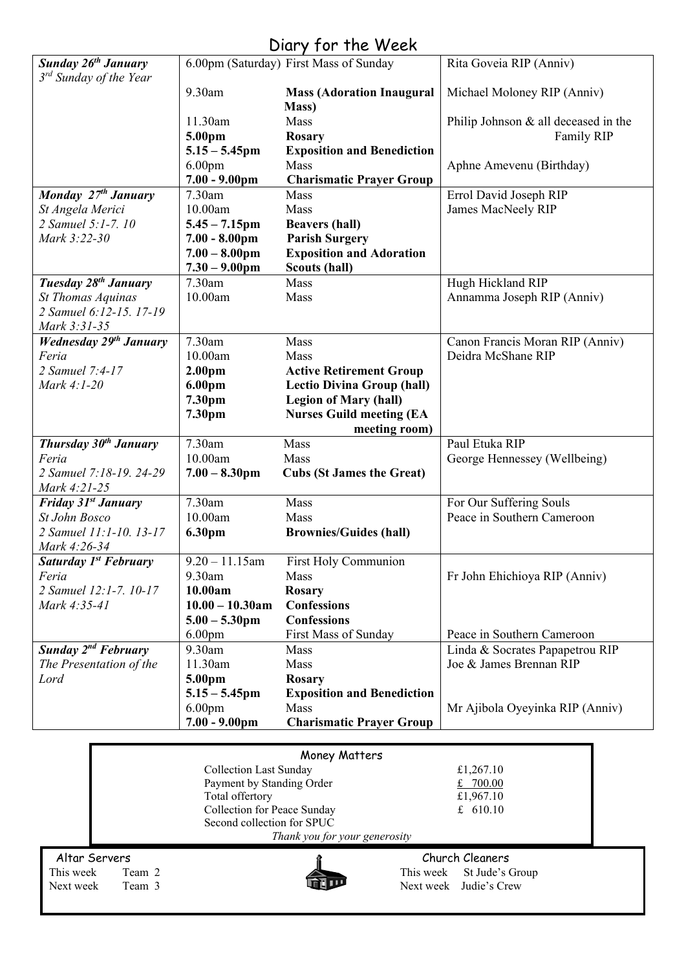## Diary for the Week

|                                    |                                              | $U(1)$ y $1 \cup 1$ $1 \cup 1$ $1 \cup 1$ |                                      |  |
|------------------------------------|----------------------------------------------|-------------------------------------------|--------------------------------------|--|
| <b>Sunday 26th January</b>         |                                              | 6.00pm (Saturday) First Mass of Sunday    | Rita Goveia RIP (Anniv)              |  |
| 3 <sup>rd</sup> Sunday of the Year | 9.30am                                       | <b>Mass (Adoration Inaugural</b>          | Michael Moloney RIP (Anniv)          |  |
|                                    |                                              | Mass)                                     |                                      |  |
|                                    | 11.30am                                      | Mass                                      | Philip Johnson & all deceased in the |  |
|                                    | 5.00pm                                       | <b>Rosary</b>                             | Family RIP                           |  |
|                                    | $5.15 - 5.45$ pm                             | <b>Exposition and Benediction</b>         |                                      |  |
|                                    | 6.00 <sub>pm</sub>                           | Mass                                      | Aphne Amevenu (Birthday)             |  |
|                                    | $7.00 - 9.00 \text{pm}$                      | <b>Charismatic Prayer Group</b>           |                                      |  |
| Monday 27th January                | 7.30am                                       | Mass                                      | Errol David Joseph RIP               |  |
| St Angela Merici                   | 10.00am                                      | Mass                                      | James MacNeely RIP                   |  |
| 2 Samuel 5:1-7. 10                 | $5.45 - 7.15$ pm                             | <b>Beavers (hall)</b>                     |                                      |  |
| Mark 3:22-30                       | $7.00 - 8.00$ pm                             | <b>Parish Surgery</b>                     |                                      |  |
|                                    | $7.00 - 8.00$ pm                             | <b>Exposition and Adoration</b>           |                                      |  |
|                                    | $7.30 - 9.00$ pm                             | Scouts (hall)                             |                                      |  |
| Tuesday 28 <sup>th</sup> January   | 7.30am                                       | Mass                                      | Hugh Hickland RIP                    |  |
| St Thomas Aquinas                  | 10.00am                                      | Mass                                      | Annamma Joseph RIP (Anniv)           |  |
| 2 Samuel 6:12-15, 17-19            |                                              |                                           |                                      |  |
| Mark 3:31-35                       |                                              |                                           |                                      |  |
| <b>Wednesday 29th January</b>      | 7.30am                                       | Mass                                      | Canon Francis Moran RIP (Anniv)      |  |
| Feria                              | 10.00am                                      | Mass                                      | Deidra McShane RIP                   |  |
| 2 Samuel 7:4-17                    | 2.00 <sub>pm</sub>                           | <b>Active Retirement Group</b>            |                                      |  |
| Mark 4:1-20                        | 6.00pm                                       | <b>Lectio Divina Group (hall)</b>         |                                      |  |
|                                    | 7.30pm                                       | <b>Legion of Mary (hall)</b>              |                                      |  |
|                                    | 7.30pm                                       | <b>Nurses Guild meeting (EA</b>           |                                      |  |
|                                    |                                              | meeting room)                             |                                      |  |
| <b>Thursday 30th January</b>       | 7.30am<br>10.00am                            | Mass                                      | Paul Etuka RIP                       |  |
| Feria<br>2 Samuel 7:18-19. 24-29   | $7.00 - 8.30$ pm                             | Mass<br><b>Cubs (St James the Great)</b>  | George Hennessey (Wellbeing)         |  |
| Mark 4:21-25                       |                                              |                                           |                                      |  |
| <b>Friday 31st January</b>         | 7.30am                                       | Mass                                      | For Our Suffering Souls              |  |
| <b>St John Bosco</b>               | 10.00am                                      | Mass                                      | Peace in Southern Cameroon           |  |
| 2 Samuel 11:1-10. 13-17            | 6.30pm                                       | <b>Brownies/Guides (hall)</b>             |                                      |  |
| Mark 4:26-34                       |                                              |                                           |                                      |  |
| Saturday 1 <sup>st</sup> February  | $9.20 - 11.15$ am                            | First Holy Communion                      |                                      |  |
| Feria                              | 9.30am                                       | <b>Mass</b>                               | Fr John Ehichioya RIP (Anniv)        |  |
| 2 Samuel 12:1-7. 10-17             | 10.00am                                      | <b>Rosary</b>                             |                                      |  |
| Mark 4:35-41                       | $10.00 - 10.30$ am                           | <b>Confessions</b>                        |                                      |  |
|                                    | $5.00 - 5.30$ pm                             | <b>Confessions</b>                        |                                      |  |
|                                    | 6.00 <sub>pm</sub>                           | <b>First Mass of Sunday</b>               | Peace in Southern Cameroon           |  |
| Sunday $2^{nd}$ February           | 9.30am                                       | Mass                                      | Linda & Socrates Papapetrou RIP      |  |
| The Presentation of the            | 11.30am                                      | Mass                                      | Joe & James Brennan RIP              |  |
| Lord                               | 5.00pm                                       | <b>Rosary</b>                             |                                      |  |
|                                    | $5.15 - 5.45$ pm                             | <b>Exposition and Benediction</b>         |                                      |  |
|                                    | 6.00 <sub>pm</sub>                           | Mass                                      | Mr Ajibola Oyeyinka RIP (Anniv)      |  |
|                                    | $7.00 - 9.00$ pm                             | <b>Charismatic Prayer Group</b>           |                                      |  |
|                                    |                                              |                                           |                                      |  |
| Money Matters                      |                                              |                                           |                                      |  |
|                                    | <b>Collection Last Sunday</b>                |                                           | £1,267.10                            |  |
|                                    | Payment by Standing Order<br>Total offertory |                                           | £ 700.00<br>£1,967.10                |  |
|                                    |                                              |                                           |                                      |  |



Second collection for SPUC

Collection for Peace Sunday  $\qquad \qquad \text{£} \quad 610.10$ 

*Thank you for your generosity*

Altar Servers **Church Cleaners Church Cleaners** This week Team 2 This week St Jude's Group<br>
Next week Team 3 Next week Judie's Crew Next week Team 3 Next week Judie's Crew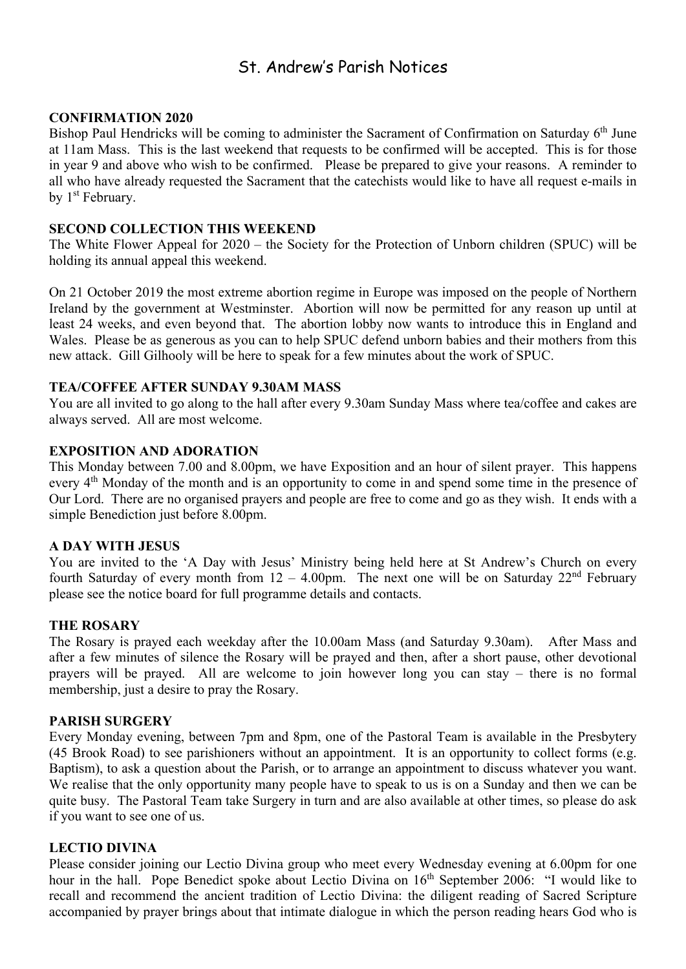## St. Andrew's Parish Notices

#### **CONFIRMATION 2020**

Bishop Paul Hendricks will be coming to administer the Sacrament of Confirmation on Saturday 6<sup>th</sup> June at 11am Mass. This is the last weekend that requests to be confirmed will be accepted. This is for those in year 9 and above who wish to be confirmed. Please be prepared to give your reasons. A reminder to all who have already requested the Sacrament that the catechists would like to have all request e-mails in by 1<sup>st</sup> February.

#### **SECOND COLLECTION THIS WEEKEND**

The White Flower Appeal for 2020 – the Society for the Protection of Unborn children (SPUC) will be holding its annual appeal this weekend.

On 21 October 2019 the most extreme abortion regime in Europe was imposed on the people of Northern Ireland by the government at Westminster. Abortion will now be permitted for any reason up until at least 24 weeks, and even beyond that. The abortion lobby now wants to introduce this in England and Wales. Please be as generous as you can to help SPUC defend unborn babies and their mothers from this new attack. Gill Gilhooly will be here to speak for a few minutes about the work of SPUC.

#### **TEA/COFFEE AFTER SUNDAY 9.30AM MASS**

You are all invited to go along to the hall after every 9.30am Sunday Mass where tea/coffee and cakes are always served. All are most welcome.

#### **EXPOSITION AND ADORATION**

This Monday between 7.00 and 8.00pm, we have Exposition and an hour of silent prayer. This happens every 4th Monday of the month and is an opportunity to come in and spend some time in the presence of Our Lord. There are no organised prayers and people are free to come and go as they wish. It ends with a simple Benediction just before 8.00pm.

#### **A DAY WITH JESUS**

You are invited to the 'A Day with Jesus' Ministry being held here at St Andrew's Church on every fourth Saturday of every month from  $12 - 4.00$ pm. The next one will be on Saturday  $22<sup>nd</sup>$  February please see the notice board for full programme details and contacts.

#### **THE ROSARY**

The Rosary is prayed each weekday after the 10.00am Mass (and Saturday 9.30am). After Mass and after a few minutes of silence the Rosary will be prayed and then, after a short pause, other devotional prayers will be prayed. All are welcome to join however long you can stay – there is no formal membership, just a desire to pray the Rosary.

#### **PARISH SURGERY**

Every Monday evening, between 7pm and 8pm, one of the Pastoral Team is available in the Presbytery (45 Brook Road) to see parishioners without an appointment. It is an opportunity to collect forms (e.g. Baptism), to ask a question about the Parish, or to arrange an appointment to discuss whatever you want. We realise that the only opportunity many people have to speak to us is on a Sunday and then we can be quite busy. The Pastoral Team take Surgery in turn and are also available at other times, so please do ask if you want to see one of us.

#### **LECTIO DIVINA**

Please consider joining our Lectio Divina group who meet every Wednesday evening at 6.00pm for one hour in the hall. Pope Benedict spoke about Lectio Divina on 16<sup>th</sup> September 2006: "I would like to recall and recommend the ancient tradition of Lectio Divina: the diligent reading of Sacred Scripture accompanied by prayer brings about that intimate dialogue in which the person reading hears God who is